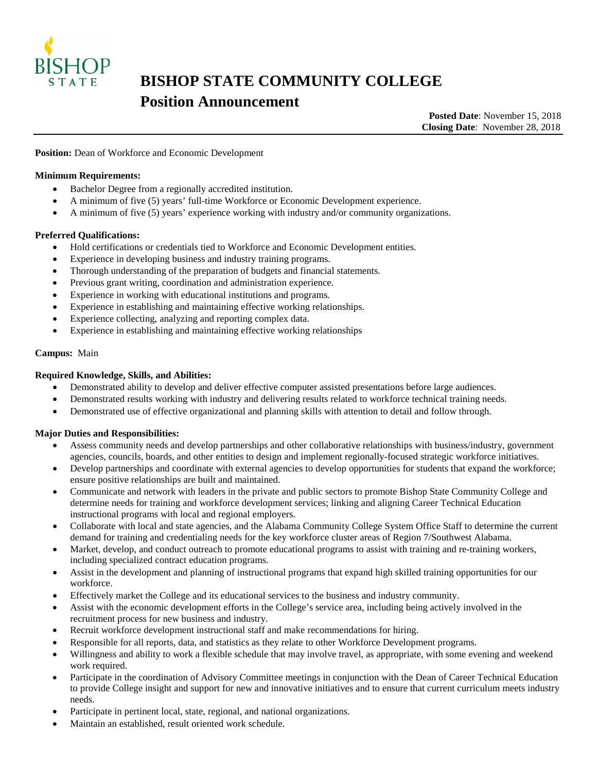

# **BISHOP STATE COMMUNITY COLLEGE Position Announcement**<br>Posted Date: November 15, 2018

**Closing Date**: November 28, 2018

Position: Dean of Workforce and Economic Development

## **Minimum Requirements:**

- Bachelor Degree from a regionally accredited institution.
- A minimum of five (5) years' full-time Workforce or Economic Development experience.
- A minimum of five (5) years' experience working with industry and/or community organizations.

## **Preferred Qualifications:**

- Hold certifications or credentials tied to Workforce and Economic Development entities.
- Experience in developing business and industry training programs.
- Thorough understanding of the preparation of budgets and financial statements.
- Previous grant writing, coordination and administration experience.
- Experience in working with educational institutions and programs.
- Experience in establishing and maintaining effective working relationships.
- Experience collecting, analyzing and reporting complex data.
- Experience in establishing and maintaining effective working relationships

#### **Campus:** Main

## **Required Knowledge, Skills, and Abilities:**

- Demonstrated ability to develop and deliver effective computer assisted presentations before large audiences.
- Demonstrated results working with industry and delivering results related to workforce technical training needs.
- Demonstrated use of effective organizational and planning skills with attention to detail and follow through.

#### **Major Duties and Responsibilities:**

- Assess community needs and develop partnerships and other collaborative relationships with business/industry, government agencies, councils, boards, and other entities to design and implement regionally-focused strategic workforce initiatives.
- Develop partnerships and coordinate with external agencies to develop opportunities for students that expand the workforce; ensure positive relationships are built and maintained.
- Communicate and network with leaders in the private and public sectors to promote Bishop State Community College and determine needs for training and workforce development services; linking and aligning Career Technical Education instructional programs with local and regional employers.
- Collaborate with local and state agencies, and the Alabama Community College System Office Staff to determine the current demand for training and credentialing needs for the key workforce cluster areas of Region 7/Southwest Alabama.
- Market, develop, and conduct outreach to promote educational programs to assist with training and re-training workers, including specialized contract education programs.
- Assist in the development and planning of instructional programs that expand high skilled training opportunities for our workforce.
- Effectively market the College and its educational services to the business and industry community.
- Assist with the economic development efforts in the College's service area, including being actively involved in the recruitment process for new business and industry.
- Recruit workforce development instructional staff and make recommendations for hiring.
- Responsible for all reports, data, and statistics as they relate to other Workforce Development programs.
- Willingness and ability to work a flexible schedule that may involve travel, as appropriate, with some evening and weekend work required.
- Participate in the coordination of Advisory Committee meetings in conjunction with the Dean of Career Technical Education to provide College insight and support for new and innovative initiatives and to ensure that current curriculum meets industry needs.
- Participate in pertinent local, state, regional, and national organizations.
- Maintain an established, result oriented work schedule.